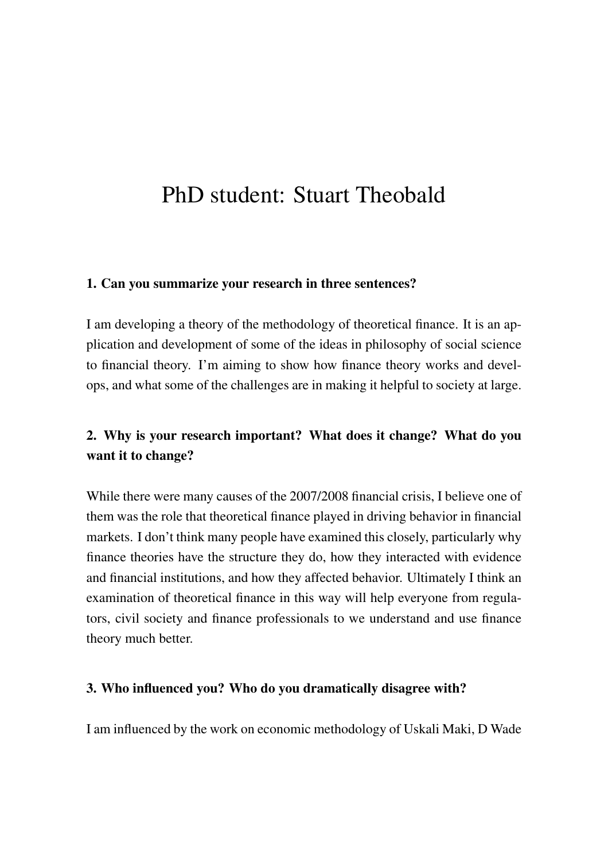# PhD student: Stuart Theobald

#### 1. Can you summarize your research in three sentences?

I am developing a theory of the methodology of theoretical finance. It is an application and development of some of the ideas in philosophy of social science to financial theory. I'm aiming to show how finance theory works and develops, and what some of the challenges are in making it helpful to society at large.

## 2. Why is your research important? What does it change? What do you want it to change?

While there were many causes of the 2007/2008 financial crisis, I believe one of them was the role that theoretical finance played in driving behavior in financial markets. I don't think many people have examined this closely, particularly why finance theories have the structure they do, how they interacted with evidence and financial institutions, and how they affected behavior. Ultimately I think an examination of theoretical finance in this way will help everyone from regulators, civil society and finance professionals to we understand and use finance theory much better.

### 3. Who influenced you? Who do you dramatically disagree with?

I am influenced by the work on economic methodology of Uskali Maki, D Wade